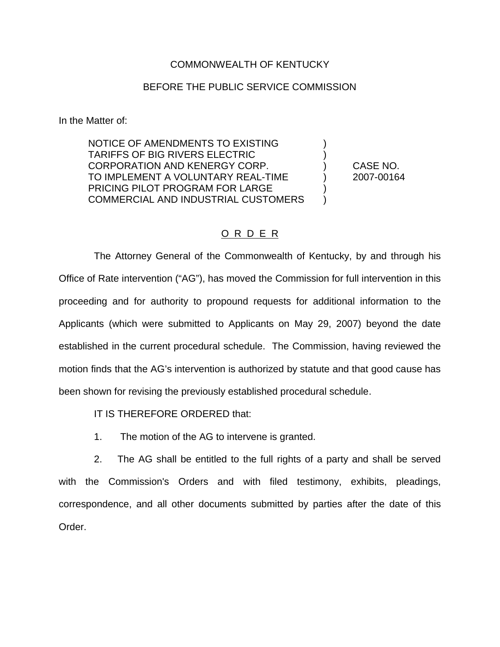### COMMONWEALTH OF KENTUCKY

#### BEFORE THE PUBLIC SERVICE COMMISSION

In the Matter of:

NOTICE OF AMENDMENTS TO EXISTING ) TARIFFS OF BIG RIVERS ELECTRIC ) CORPORATION AND KENERGY CORP. ) CASE NO. TO IMPLEMENT A VOLUNTARY REAL-TIME ) 2007-00164 PRICING PILOT PROGRAM FOR LARGE COMMERCIAL AND INDUSTRIAL CUSTOMERS )

### O R D E R

The Attorney General of the Commonwealth of Kentucky, by and through his Office of Rate intervention ("AG"), has moved the Commission for full intervention in this proceeding and for authority to propound requests for additional information to the Applicants (which were submitted to Applicants on May 29, 2007) beyond the date established in the current procedural schedule. The Commission, having reviewed the motion finds that the AG's intervention is authorized by statute and that good cause has been shown for revising the previously established procedural schedule.

IT IS THEREFORE ORDERED that:

1. The motion of the AG to intervene is granted.

2. The AG shall be entitled to the full rights of a party and shall be served with the Commission's Orders and with filed testimony, exhibits, pleadings, correspondence, and all other documents submitted by parties after the date of this Order.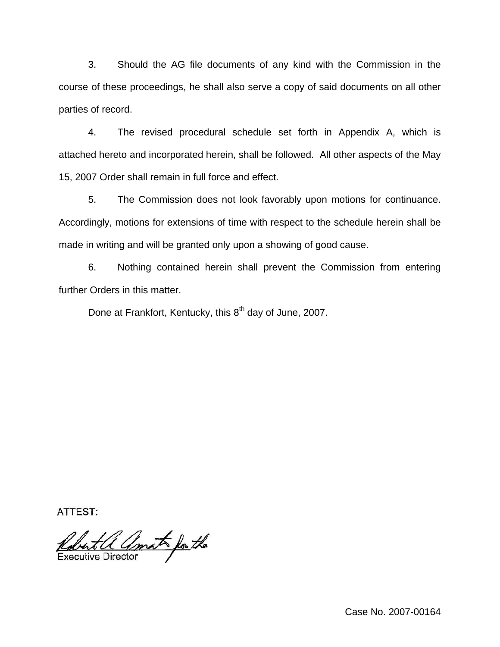3. Should the AG file documents of any kind with the Commission in the course of these proceedings, he shall also serve a copy of said documents on all other parties of record.

4. The revised procedural schedule set forth in Appendix A, which is attached hereto and incorporated herein, shall be followed. All other aspects of the May 15, 2007 Order shall remain in full force and effect.

5. The Commission does not look favorably upon motions for continuance. Accordingly, motions for extensions of time with respect to the schedule herein shall be made in writing and will be granted only upon a showing of good cause.

6. Nothing contained herein shall prevent the Commission from entering further Orders in this matter.

Done at Frankfort, Kentucky, this 8<sup>th</sup> day of June, 2007.

ATTEST:

Robert a amat for the